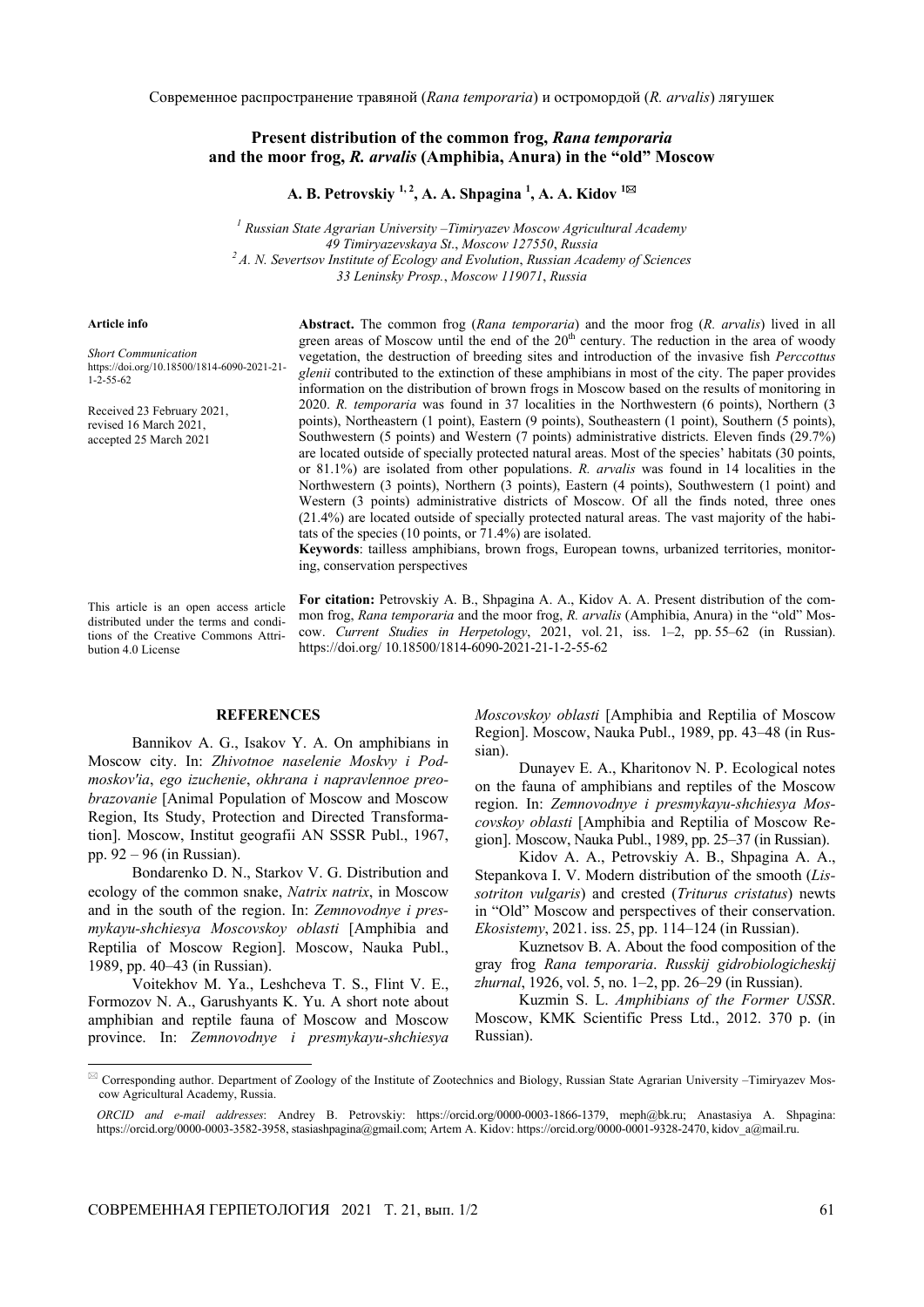Современное распространение травяной (*Rana temporaria*) и остромордой (*R. arvalis*) лягушек

## **Present distribution of the common frog,** *Rana temporaria*  **and the moor frog,** *R. arvalis* **(Amphibia, Anura) in the "old" Moscow**

**A. B. Petrovskiy 1, 2, A. A. Shpagina 1 , A. A. Kidov <sup>1</sup>**

*1 Russian State Agrarian University* –*Timiryazev Moscow Agricultural Academy 49 Timiryazevskaya St*., *Moscow 127550*, *Russia 2 A. N. Severtsov Institute of Ecology and Evolution*, *Russian Academy of Sciences 33 Leninsky Prosp.*, *Moscow 119071*, *Russia*

## **Article info**

l

*Short Communication*  https://doi.org/10.18500/1814-6090-2021-21- 1-2-55-62

Received 23 February 2021, revised 16 March 2021, accepted 25 March 2021

**Abstract.** The common frog (*Rana temporaria*) and the moor frog (*R. arvalis*) lived in all green areas of Moscow until the end of the  $20<sup>th</sup>$  century. The reduction in the area of woody vegetation, the destruction of breeding sites and introduction of the invasive fish *Perccottus glenii* contributed to the extinction of these amphibians in most of the city. The paper provides information on the distribution of brown frogs in Moscow based on the results of monitoring in 2020. *R. temporaria* was found in 37 localities in the Northwestern (6 points), Northern (3 points), Northeastern (1 point), Eastern (9 points), Southeastern (1 point), Southern (5 points), Southwestern (5 points) and Western (7 points) administrative districts. Eleven finds (29.7%) are located outside of specially protected natural areas. Most of the species' habitats (30 points, or 81.1%) are isolated from other populations. *R. arvalis* was found in 14 localities in the Northwestern (3 points), Northern (3 points), Eastern (4 points), Southwestern (1 point) and Western (3 points) administrative districts of Moscow. Of all the finds noted, three ones (21.4%) are located outside of specially protected natural areas. The vast majority of the habitats of the species (10 points, or 71.4%) are isolated.

**Keywords**: tailless amphibians, brown frogs, European towns, urbanized territories, monitoring, conservation perspectives

This article is an open access article distributed under the terms and conditions of the Creative Commons Attribution 4.0 License

**For citation:** Petrovskiy A. B., Shpagina A. A., Kidov A. A. Present distribution of the common frog, *Rana temporaria* and the moor frog, *R. arvalis* (Amphibia, Anura) in the "old" Moscow. *Current Studies in Herpetology*, 2021, vol. 21, iss. 1–2, pp. 55–62 (in Russian). https://doi.org/ 10.18500/1814-6090-2021-21-1-2-55-62

## **REFERENCES**

Bannikov A. G., Isakov Y. A. On amphibians in Moscow city. In: *Zhivotnoe naselenie Moskvy i Podmoskov'ia*, *ego izuchenie*, *okhrana i napravlennoe preobrazovanie* [Animal Population of Moscow and Moscow Region, Its Study, Protection and Directed Transformation]. Moscow, Institut geografii AN SSSR Publ., 1967, pp. 92 – 96 (in Russian).

Bondarenko D. N., Starkov V. G. Distribution and ecology of the common snake, *Natrix natrix*, in Moscow and in the south of the region. In: *Zemnovodnye i presmykayu-shchiesya Moscovskoy oblasti* [Amphibia and Reptilia of Moscow Region]. Moscow, Nauka Publ., 1989, pp. 40–43 (in Russian).

Voitekhov M. Ya., Leshcheva T. S., Flint V. E., Formozov N. A., Garushyants K. Yu. A short note about amphibian and reptile fauna of Moscow and Moscow province. In: *Zemnovodnye i presmykayu-shchiesya* 

*Moscovskoy oblasti* [Amphibia and Reptilia of Moscow Region]. Moscow, Nauka Publ., 1989, pp. 43–48 (in Russian).

Dunayev E. A., Kharitonov N. P. Ecological notes on the fauna of amphibians and reptiles of the Moscow region. In: *Zemnovodnye i presmykayu-shchiesya Moscovskoy oblasti* [Amphibia and Reptilia of Moscow Region]. Moscow, Nauka Publ., 1989, pp. 25–37 (in Russian).

Kidov A. A., Petrovskiy A. B., Shpagina A. A., Stepankova I. V. Modern distribution of the smooth (*Lissotriton vulgaris*) and crested (*Triturus cristatus*) newts in "Old" Moscow and perspectives of their conservation. *Ekosistemy*, 2021. iss. 25, pp. 114–124 (in Russian).

Kuznetsov B. A. About the food composition of the gray frog *Rana temporaria*. *Russkij gidrobiologicheskij zhurnal*, 1926, vol. 5, no. 1–2, pp. 26–29 (in Russian).

Kuzmin S. L. *Amphibians of the Former USSR*. Moscow, KMK Scientific Press Ltd., 2012. 370 p. (in Russian).

 Corresponding author. Department of Zoology of the Institute of Zootechnics and Biology, Russian State Agrarian University –Timiryazev Moscow Agricultural Academy, Russia.

*ORCID and e-mail addresses*: Andrey B. Petrovskiy: https://orcid.org/0000-0003-1866-1379, meph@bk.ru; Anastasiya A. Shpagina: https://orcid.org/0000-0003-3582-3958, stasiashpagina@gmail.com; Artem A. Kidov: https://orcid.org/0000-0001-9328-2470, kidov\_a@mail.ru.